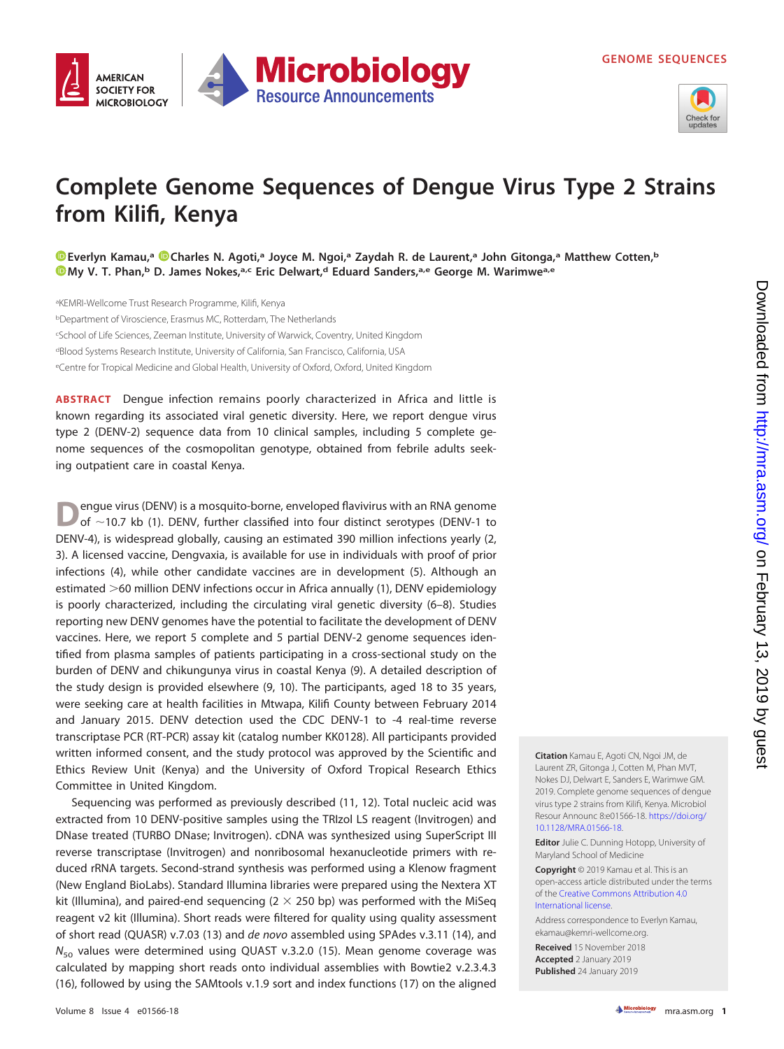

## **Microbiology AMERICAN SOCIETY FOR Resource Announcements MICROBIOLOGY**

## **Complete Genome Sequences of Dengue Virus Type 2 Strains from Kilifi, Kenya**

**[Everlyn Kamau,](https://orcid.org/0000-0003-4285-2255)a [Charles N. Agoti,](https://orcid.org/0000-0002-2160-567X)a Joyce M. Ngoi,a Zaydah R. de Laurent,a John Gitonga,a Matthew Cotten,b [My V. T. Phan,](https://orcid.org/0000-0002-6905-8513)**<sup>b</sup> D. James Nokes,<sup>a,c</sup> Eric Delwart,<sup>d</sup> Eduard Sanders,<sup>a,e</sup> George M. Warimwe<sup>a,e</sup>

aKEMRI-Wellcome Trust Research Programme, Kilifi, Kenya <sup>b</sup>Department of Viroscience, Erasmus MC, Rotterdam, The Netherlands c School of Life Sciences, Zeeman Institute, University of Warwick, Coventry, United Kingdom <sup>d</sup>Blood Systems Research Institute, University of California, San Francisco, California, USA <sup>e</sup>Centre for Tropical Medicine and Global Health, University of Oxford, Oxford, United Kingdom

**ABSTRACT** Dengue infection remains poorly characterized in Africa and little is known regarding its associated viral genetic diversity. Here, we report dengue virus type 2 (DENV-2) sequence data from 10 clinical samples, including 5 complete genome sequences of the cosmopolitan genotype, obtained from febrile adults seeking outpatient care in coastal Kenya.

**D**engue virus (DENV) is a mosquito-borne, enveloped flavivirus with an RNA genome of ~10.7 kb [\(1\)](#page-1-0). DENV, further classified into four distinct serotypes (DENV-1 to DENV-4), is widespread globally, causing an estimated 390 million infections yearly [\(2,](#page-1-1) [3\)](#page-1-2). A licensed vaccine, Dengvaxia, is available for use in individuals with proof of prior infections [\(4\)](#page-1-3), while other candidate vaccines are in development [\(5\)](#page-2-0). Although an estimated >60 million DENV infections occur in Africa annually [\(1\)](#page-1-0), DENV epidemiology is poorly characterized, including the circulating viral genetic diversity [\(6](#page-2-1)[–](#page-2-2)[8\)](#page-2-3). Studies reporting new DENV genomes have the potential to facilitate the development of DENV vaccines. Here, we report 5 complete and 5 partial DENV-2 genome sequences identified from plasma samples of patients participating in a cross-sectional study on the burden of DENV and chikungunya virus in coastal Kenya [\(9\)](#page-2-4). A detailed description of the study design is provided elsewhere [\(9,](#page-2-4) [10\)](#page-2-5). The participants, aged 18 to 35 years, were seeking care at health facilities in Mtwapa, Kilifi County between February 2014 and January 2015. DENV detection used the CDC DENV-1 to -4 real-time reverse transcriptase PCR (RT-PCR) assay kit (catalog number KK0128). All participants provided written informed consent, and the study protocol was approved by the Scientific and Ethics Review Unit (Kenya) and the University of Oxford Tropical Research Ethics Committee in United Kingdom.

Sequencing was performed as previously described [\(11,](#page-2-6) [12\)](#page-2-7). Total nucleic acid was extracted from 10 DENV-positive samples using the TRIzol LS reagent (Invitrogen) and DNase treated (TURBO DNase; Invitrogen). cDNA was synthesized using SuperScript III reverse transcriptase (Invitrogen) and nonribosomal hexanucleotide primers with reduced rRNA targets. Second-strand synthesis was performed using a Klenow fragment (New England BioLabs). Standard Illumina libraries were prepared using the Nextera XT kit (Illumina), and paired-end sequencing  $(2 \times 250$  bp) was performed with the MiSeq reagent v2 kit (Illumina). Short reads were filtered for quality using quality assessment of short read (QUASR) v.7.03 [\(13\)](#page-2-8) and de novo assembled using SPAdes v.3.11 [\(14\)](#page-2-9), and  $N_{50}$  values were determined using QUAST v.3.2.0 [\(15\)](#page-2-10). Mean genome coverage was calculated by mapping short reads onto individual assemblies with Bowtie2 v.2.3.4.3 [\(16\)](#page-2-11), followed by using the SAMtools v.1.9 sort and index functions [\(17\)](#page-2-12) on the aligned **Citation** Kamau E, Agoti CN, Ngoi JM, de Laurent ZR, Gitonga J, Cotten M, Phan MVT, Nokes DJ, Delwart E, Sanders E, Warimwe GM. 2019. Complete genome sequences of dengue virus type 2 strains from Kilifi, Kenya. Microbiol Resour Announc 8:e01566-18. [https://doi.org/](https://doi.org/10.1128/MRA.01566-18) [10.1128/MRA.01566-18.](https://doi.org/10.1128/MRA.01566-18)

**Editor** Julie C. Dunning Hotopp, University of Maryland School of Medicine

**Copyright** © 2019 Kamau et al. This is an open-access article distributed under the terms of the [Creative Commons Attribution 4.0](https://creativecommons.org/licenses/by/4.0/) [International](https://creativecommons.org/licenses/by/4.0/) license.

Address correspondence to Everlyn Kamau, [ekamau@kemri-wellcome.org.](mailto:ekamau@kemri-wellcome.org)

**Received** 15 November 2018 **Accepted** 2 January 2019 **Published** 24 January 2019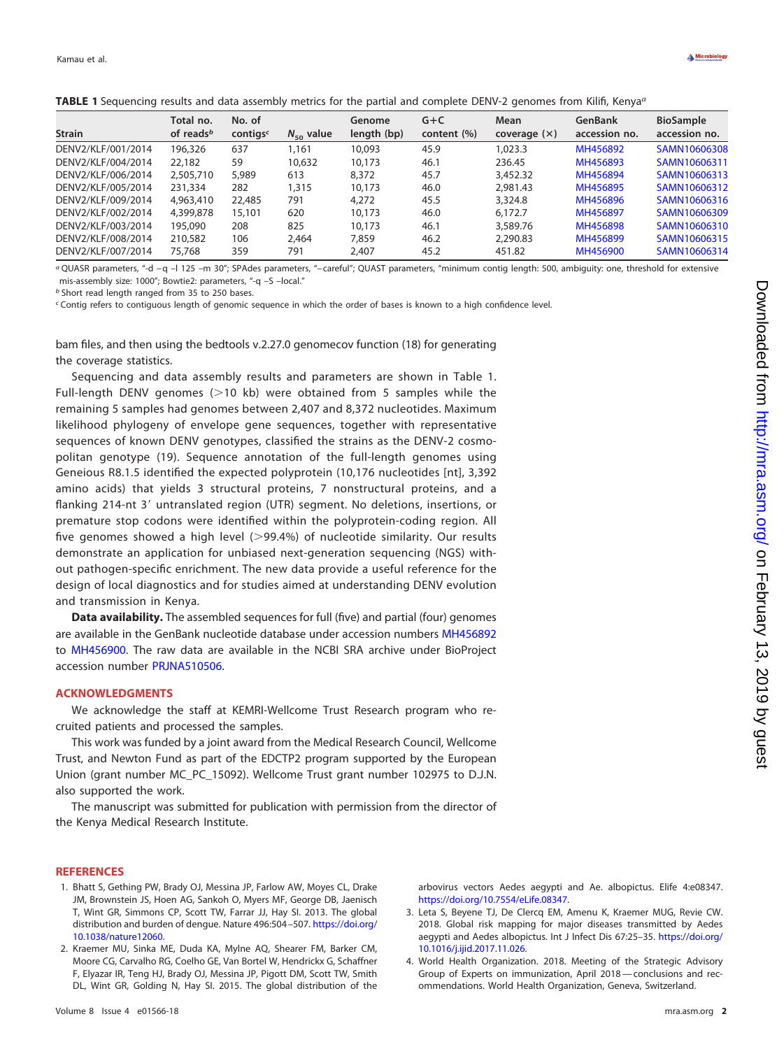<span id="page-1-4"></span>

|                    | Total no.             | No. of               |                | Genome      | $G + C$        | Mean        | GenBank       | <b>BioSample</b> |
|--------------------|-----------------------|----------------------|----------------|-------------|----------------|-------------|---------------|------------------|
| Strain             | of reads <sup>b</sup> | contigs <sup>c</sup> | $N_{50}$ value | length (bp) | content $(\%)$ | coverage(x) | accession no. | accession no.    |
| DENV2/KLF/001/2014 | 196,326               | 637                  | 1,161          | 10,093      | 45.9           | 1.023.3     | MH456892      | SAMN10606308     |
| DENV2/KLF/004/2014 | 22,182                | 59                   | 10,632         | 10,173      | 46.1           | 236.45      | MH456893      | SAMN10606311     |
| DENV2/KLF/006/2014 | 2,505,710             | 5,989                | 613            | 8,372       | 45.7           | 3,452.32    | MH456894      | SAMN10606313     |
| DENV2/KLF/005/2014 | 231,334               | 282                  | 1,315          | 10.173      | 46.0           | 2.981.43    | MH456895      | SAMN10606312     |
| DENV2/KLF/009/2014 | 4,963,410             | 22,485               | 791            | 4,272       | 45.5           | 3,324.8     | MH456896      | SAMN10606316     |
| DENV2/KLF/002/2014 | 4,399,878             | 15,101               | 620            | 10.173      | 46.0           | 6.172.7     | MH456897      | SAMN10606309     |
| DENV2/KLF/003/2014 | 195,090               | 208                  | 825            | 10.173      | 46.1           | 3,589.76    | MH456898      | SAMN10606310     |
| DENV2/KLF/008/2014 | 210,582               | 106                  | 2.464          | 7,859       | 46.2           | 2.290.83    | MH456899      | SAMN10606315     |
| DENV2/KLF/007/2014 | 75,768                | 359                  | 791            | 2,407       | 45.2           | 451.82      | MH456900      | SAMN10606314     |

a QUASR parameters, "-d – q –l 125 –m 30"; SPAdes parameters, "– careful"; QUAST parameters, "minimum contig length: 500, ambiguity: one, threshold for extensive mis-assembly size: 1000"; Bowtie2: parameters, "-q –S –local."

**b** Short read length ranged from 35 to 250 bases.

c Contig refers to contiguous length of genomic sequence in which the order of bases is known to a high confidence level.

bam files, and then using the bedtools v.2.27.0 genomecov function [\(18\)](#page-2-13) for generating the coverage statistics.

Sequencing and data assembly results and parameters are shown in [Table 1.](#page-1-4) Full-length DENV genomes  $(>10$  kb) were obtained from 5 samples while the remaining 5 samples had genomes between 2,407 and 8,372 nucleotides. Maximum likelihood phylogeny of envelope gene sequences, together with representative sequences of known DENV genotypes, classified the strains as the DENV-2 cosmopolitan genotype [\(19\)](#page-2-14). Sequence annotation of the full-length genomes using Geneious R8.1.5 identified the expected polyprotein (10,176 nucleotides [nt], 3,392 amino acids) that yields 3 structural proteins, 7 nonstructural proteins, and a flanking 214-nt 3' untranslated region (UTR) segment. No deletions, insertions, or premature stop codons were identified within the polyprotein-coding region. All five genomes showed a high level  $(>99.4%)$  of nucleotide similarity. Our results demonstrate an application for unbiased next-generation sequencing (NGS) without pathogen-specific enrichment. The new data provide a useful reference for the design of local diagnostics and for studies aimed at understanding DENV evolution and transmission in Kenya.

**Data availability.** The assembled sequences for full (five) and partial (four) genomes are available in the GenBank nucleotide database under accession numbers [MH456892](https://www.ncbi.nlm.nih.gov/nuccore/MH456892) to [MH456900.](https://www.ncbi.nlm.nih.gov/nuccore/MH456900) The raw data are available in the NCBI SRA archive under BioProject accession number [PRJNA510506.](https://www.ncbi.nlm.nih.gov/bioproject/PRJNA510506)

## **ACKNOWLEDGMENTS**

We acknowledge the staff at KEMRI-Wellcome Trust Research program who recruited patients and processed the samples.

This work was funded by a joint award from the Medical Research Council, Wellcome Trust, and Newton Fund as part of the EDCTP2 program supported by the European Union (grant number MC\_PC\_15092). Wellcome Trust grant number 102975 to D.J.N. also supported the work.

The manuscript was submitted for publication with permission from the director of the Kenya Medical Research Institute.

## <span id="page-1-0"></span>**REFERENCES**

- 1. Bhatt S, Gething PW, Brady OJ, Messina JP, Farlow AW, Moyes CL, Drake JM, Brownstein JS, Hoen AG, Sankoh O, Myers MF, George DB, Jaenisch T, Wint GR, Simmons CP, Scott TW, Farrar JJ, Hay SI. 2013. The global distribution and burden of dengue. Nature 496:504 –507. [https://doi.org/](https://doi.org/10.1038/nature12060) [10.1038/nature12060.](https://doi.org/10.1038/nature12060)
- <span id="page-1-1"></span>2. Kraemer MU, Sinka ME, Duda KA, Mylne AQ, Shearer FM, Barker CM, Moore CG, Carvalho RG, Coelho GE, Van Bortel W, Hendrickx G, Schaffner F, Elyazar IR, Teng HJ, Brady OJ, Messina JP, Pigott DM, Scott TW, Smith DL, Wint GR, Golding N, Hay SI. 2015. The global distribution of the

arbovirus vectors Aedes aegypti and Ae. albopictus. Elife 4:e08347. [https://doi.org/10.7554/eLife.08347.](https://doi.org/10.7554/eLife.08347)

- <span id="page-1-2"></span>3. Leta S, Beyene TJ, De Clercq EM, Amenu K, Kraemer MUG, Revie CW. 2018. Global risk mapping for major diseases transmitted by Aedes aegypti and Aedes albopictus. Int J Infect Dis 67:25-35. [https://doi.org/](https://doi.org/10.1016/j.ijid.2017.11.026) [10.1016/j.ijid.2017.11.026.](https://doi.org/10.1016/j.ijid.2017.11.026)
- <span id="page-1-3"></span>4. World Health Organization. 2018. Meeting of the Strategic Advisory Group of Experts on immunization, April 2018— conclusions and recommendations. World Health Organization, Geneva, Switzerland.